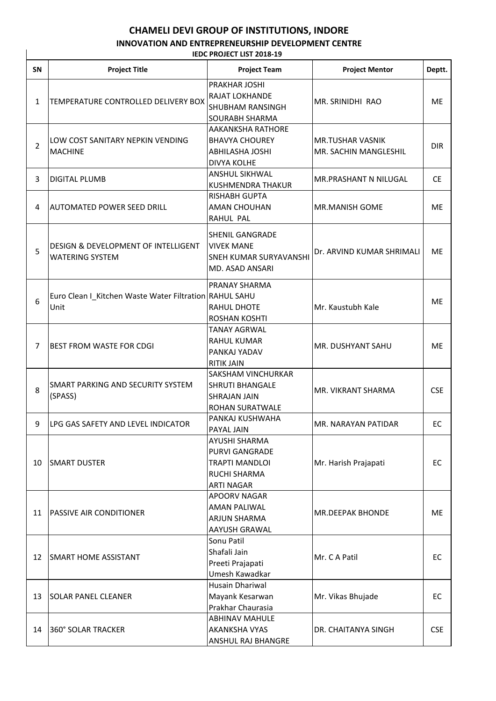## **CHAMELI DEVI GROUP OF INSTITUTIONS, INDORE**

## **INNOVATION AND ENTREPRENEURSHIP DEVELOPMENT CENTRE IEDC PROJECT LIST 2018-19**

| IEDC PROJECT LIST 2018-19 |                                                                |                                                                                                                    |                                                  |            |  |  |  |  |
|---------------------------|----------------------------------------------------------------|--------------------------------------------------------------------------------------------------------------------|--------------------------------------------------|------------|--|--|--|--|
| SN                        | <b>Project Title</b>                                           | <b>Project Team</b>                                                                                                | <b>Project Mentor</b>                            | Deptt.     |  |  |  |  |
| $\mathbf{1}$              | TEMPERATURE CONTROLLED DELIVERY BOX                            | PRAKHAR JOSHI<br><b>RAJAT LOKHANDE</b><br><b>SHUBHAM RANSINGH</b><br><b>SOURABH SHARMA</b>                         | MR. SRINIDHI RAO                                 | ME         |  |  |  |  |
| $\overline{2}$            | LOW COST SANITARY NEPKIN VENDING<br><b>MACHINE</b>             | <b>AAKANKSHA RATHORE</b><br><b>BHAVYA CHOUREY</b><br><b>ABHILASHA JOSHI</b><br><b>DIVYA KOLHE</b>                  | <b>MR.TUSHAR VASNIK</b><br>MR. SACHIN MANGLESHIL | <b>DIR</b> |  |  |  |  |
| 3                         | <b>DIGITAL PLUMB</b>                                           | <b>ANSHUL SIKHWAL</b><br><b>KUSHMENDRA THAKUR</b>                                                                  | <b>MR.PRASHANT N NILUGAL</b>                     | CE.        |  |  |  |  |
| 4                         | <b>AUTOMATED POWER SEED DRILL</b>                              | <b>RISHABH GUPTA</b><br><b>AMAN CHOUHAN</b><br>RAHUL PAL                                                           | MR.MANISH GOME                                   | <b>ME</b>  |  |  |  |  |
| 5                         | DESIGN & DEVELOPMENT OF INTELLIGENT<br><b>WATERING SYSTEM</b>  | <b>SHENIL GANGRADE</b><br><b>VIVEK MANE</b><br><b>SNEH KUMAR SURYAVANSHI</b><br>MD. ASAD ANSARI                    | Dr. ARVIND KUMAR SHRIMALI                        | <b>ME</b>  |  |  |  |  |
| 6                         | Euro Clean I_Kitchen Waste Water Filtration RAHUL SAHU<br>Unit | <b>PRANAY SHARMA</b><br>RAHUL DHOTE<br><b>ROSHAN KOSHTI</b>                                                        | Mr. Kaustubh Kale                                | <b>ME</b>  |  |  |  |  |
| $\overline{7}$            | <b>BEST FROM WASTE FOR CDGI</b>                                | <b>TANAY AGRWAL</b><br><b>RAHUL KUMAR</b><br><b>PANKAJ YADAV</b><br><b>RITIK JAIN</b>                              | MR. DUSHYANT SAHU                                | ME         |  |  |  |  |
| 8                         | SMART PARKING AND SECURITY SYSTEM<br>(SPASS)                   | <b>SAKSHAM VINCHURKAR</b><br><b>SHRUTI BHANGALE</b><br><b>SHRAJAN JAIN</b><br>ROHAN SURATWALE                      | MR. VIKRANT SHARMA                               | <b>CSE</b> |  |  |  |  |
| 9                         | LPG GAS SAFETY AND LEVEL INDICATOR                             | PANKAJ KUSHWAHA<br>PAYAL JAIN                                                                                      | MR. NARAYAN PATIDAR                              | EC         |  |  |  |  |
| 10                        | <b>SMART DUSTER</b>                                            | <b>AYUSHI SHARMA</b><br><b>PURVI GANGRADE</b><br><b>TRAPTI MANDLOI</b><br><b>RUCHI SHARMA</b><br><b>ARTI NAGAR</b> | Mr. Harish Prajapati                             | EC         |  |  |  |  |
| 11                        | PASSIVE AIR CONDITIONER                                        | <b>APOORV NAGAR</b><br><b>AMAN PALIWAL</b><br><b>ARJUN SHARMA</b><br><b>AAYUSH GRAWAL</b>                          | MR.DEEPAK BHONDE                                 | ME.        |  |  |  |  |
| 12                        | <b>SMART HOME ASSISTANT</b>                                    | Sonu Patil<br>Shafali Jain<br>Preeti Prajapati<br>Umesh Kawadkar                                                   | Mr. C A Patil                                    | EC         |  |  |  |  |
| 13                        | <b>SOLAR PANEL CLEANER</b>                                     | Husain Dhariwal<br>Mayank Kesarwan<br>Prakhar Chaurasia                                                            | Mr. Vikas Bhujade                                | EC         |  |  |  |  |
| 14                        | 360° SOLAR TRACKER                                             | <b>ABHINAV MAHULE</b><br><b>AKANKSHA VYAS</b><br>ANSHUL RAJ BHANGRE                                                | DR. CHAITANYA SINGH                              | <b>CSE</b> |  |  |  |  |